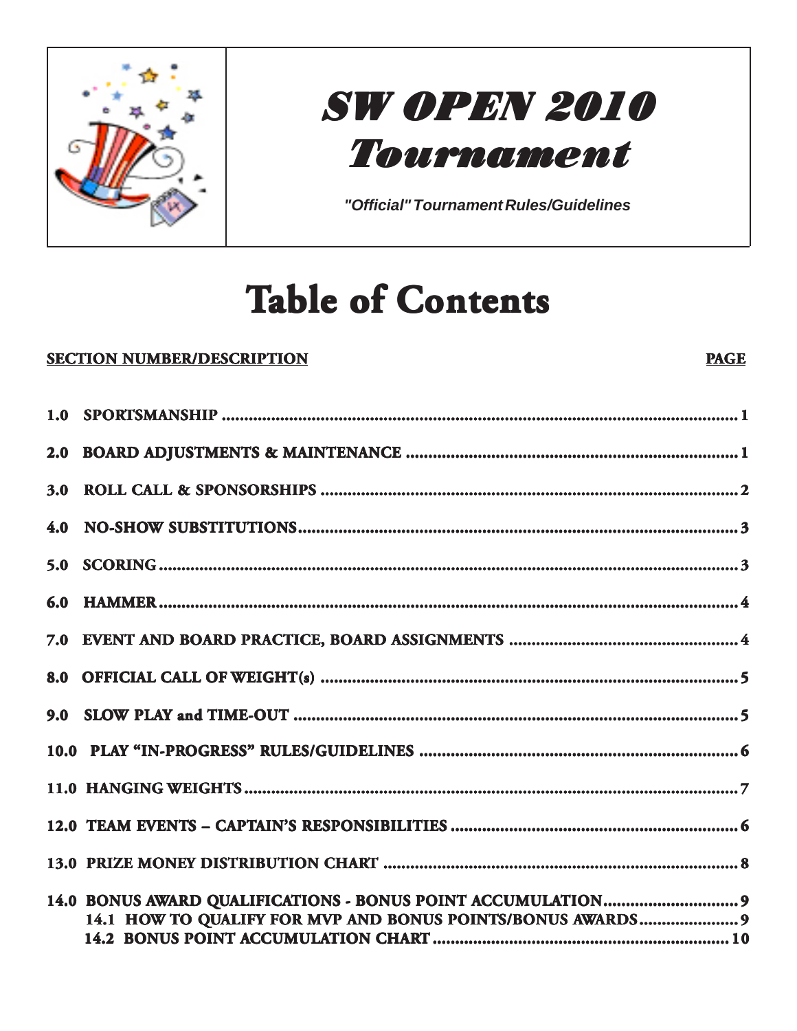

## **SW OPEN 2010** Tournament

"Official" Tournament Rules/Guidelines

# **Table of Contents**

#### **SECTION NUMBER/DESCRIPTION**

#### **PAGE**

| 14.1 HOW TO QUALIFY FOR MVP AND BONUS POINTS/BONUS AWARDS 9 |  |
|-------------------------------------------------------------|--|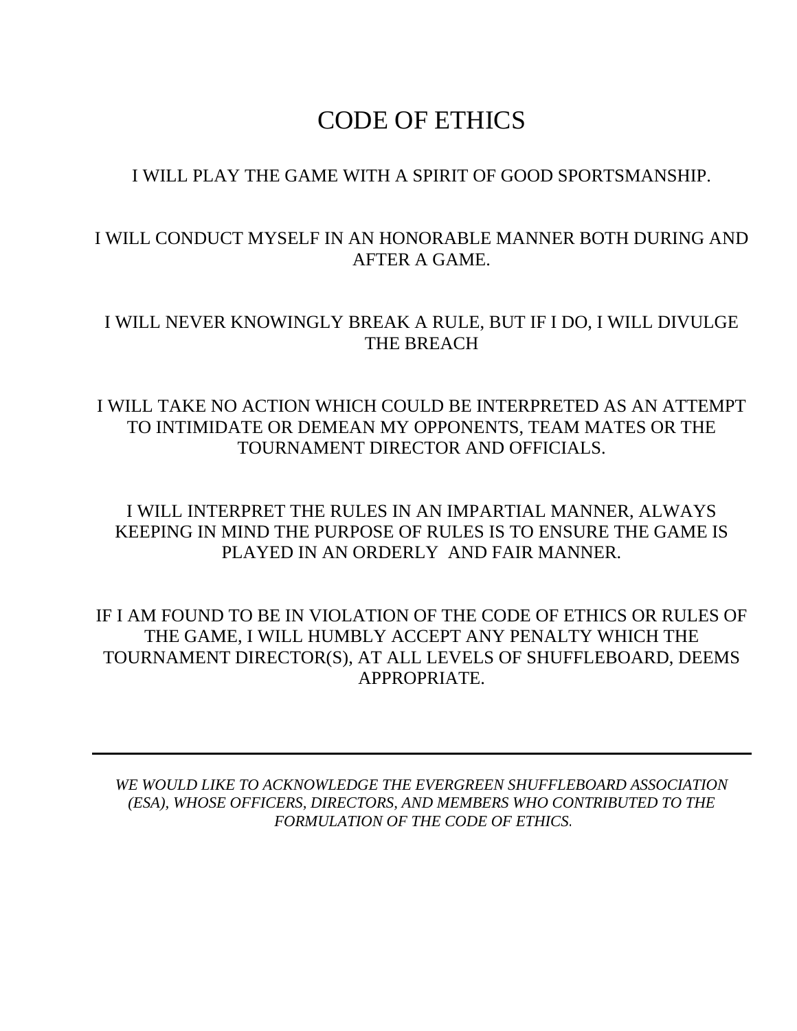### CODE OF ETHICS

#### I WILL PLAY THE GAME WITH A SPIRIT OF GOOD SPORTSMANSHIP.

#### I WILL CONDUCT MYSELF IN AN HONORABLE MANNER BOTH DURING AND AFTER A GAME.

#### I WILL NEVER KNOWINGLY BREAK A RULE, BUT IF I DO, I WILL DIVULGE THE BREACH

#### I WILL TAKE NO ACTION WHICH COULD BE INTERPRETED AS AN ATTEMPT TO INTIMIDATE OR DEMEAN MY OPPONENTS, TEAM MATES OR THE TOURNAMENT DIRECTOR AND OFFICIALS.

I WILL INTERPRET THE RULES IN AN IMPARTIAL MANNER, ALWAYS KEEPING IN MIND THE PURPOSE OF RULES IS TO ENSURE THE GAME IS PLAYED IN AN ORDERLY AND FAIR MANNER.

IF I AM FOUND TO BE IN VIOLATION OF THE CODE OF ETHICS OR RULES OF THE GAME, I WILL HUMBLY ACCEPT ANY PENALTY WHICH THE TOURNAMENT DIRECTOR(S), AT ALL LEVELS OF SHUFFLEBOARD, DEEMS APPROPRIATE.

*WE WOULD LIKE TO ACKNOWLEDGE THE EVERGREEN SHUFFLEBOARD ASSOCIATION (ESA), WHOSE OFFICERS, DIRECTORS, AND MEMBERS WHO CONTRIBUTED TO THE FORMULATION OF THE CODE OF ETHICS.*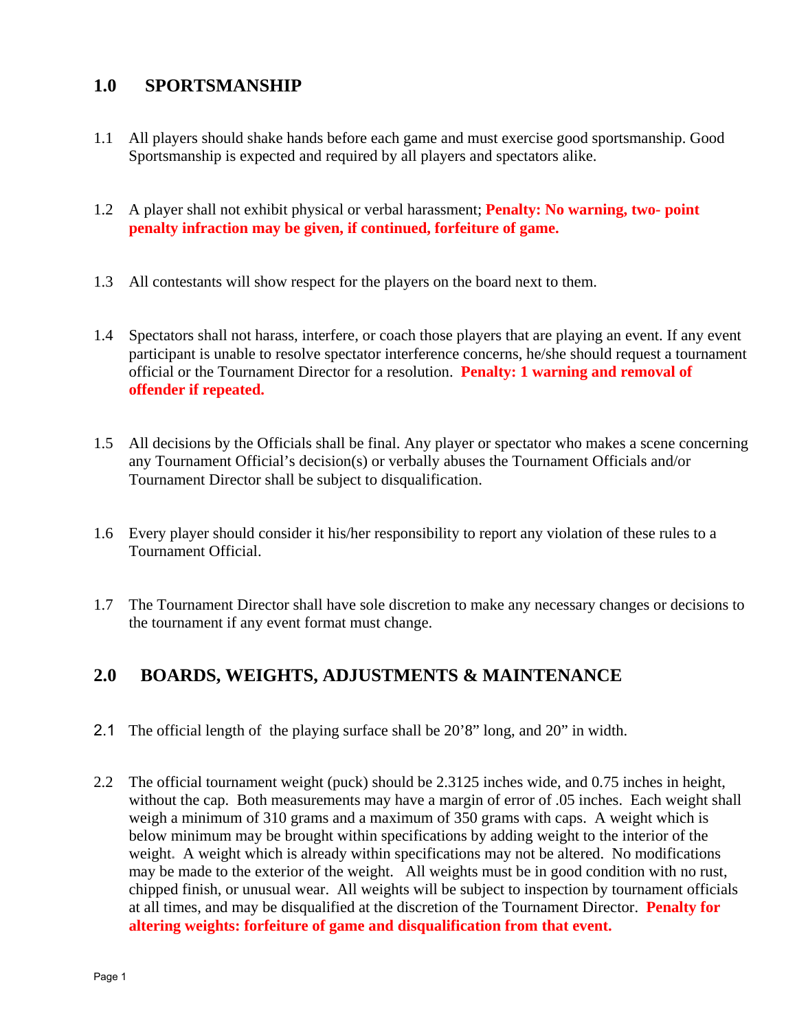#### **1.0 SPORTSMANSHIP**

- 1.1 All players should shake hands before each game and must exercise good sportsmanship. Good Sportsmanship is expected and required by all players and spectators alike.
- 1.2 A player shall not exhibit physical or verbal harassment; **Penalty: No warning, two- point penalty infraction may be given, if continued, forfeiture of game.**
- 1.3 All contestants will show respect for the players on the board next to them.
- 1.4 Spectators shall not harass, interfere, or coach those players that are playing an event. If any event participant is unable to resolve spectator interference concerns, he/she should request a tournament official or the Tournament Director for a resolution. **Penalty: 1 warning and removal of offender if repeated.**
- 1.5 All decisions by the Officials shall be final. Any player or spectator who makes a scene concerning any Tournament Official's decision(s) or verbally abuses the Tournament Officials and/or Tournament Director shall be subject to disqualification.
- 1.6 Every player should consider it his/her responsibility to report any violation of these rules to a Tournament Official.
- 1.7 The Tournament Director shall have sole discretion to make any necessary changes or decisions to the tournament if any event format must change.

#### **2.0 BOARDS, WEIGHTS, ADJUSTMENTS & MAINTENANCE**

- 2.1 The official length of the playing surface shall be 20'8" long, and 20" in width.
- 2.2 The official tournament weight (puck) should be 2.3125 inches wide, and 0.75 inches in height, without the cap. Both measurements may have a margin of error of .05 inches. Each weight shall weigh a minimum of 310 grams and a maximum of 350 grams with caps. A weight which is below minimum may be brought within specifications by adding weight to the interior of the weight. A weight which is already within specifications may not be altered. No modifications may be made to the exterior of the weight. All weights must be in good condition with no rust, chipped finish, or unusual wear. All weights will be subject to inspection by tournament officials at all times, and may be disqualified at the discretion of the Tournament Director. **Penalty for altering weights: forfeiture of game and disqualification from that event.**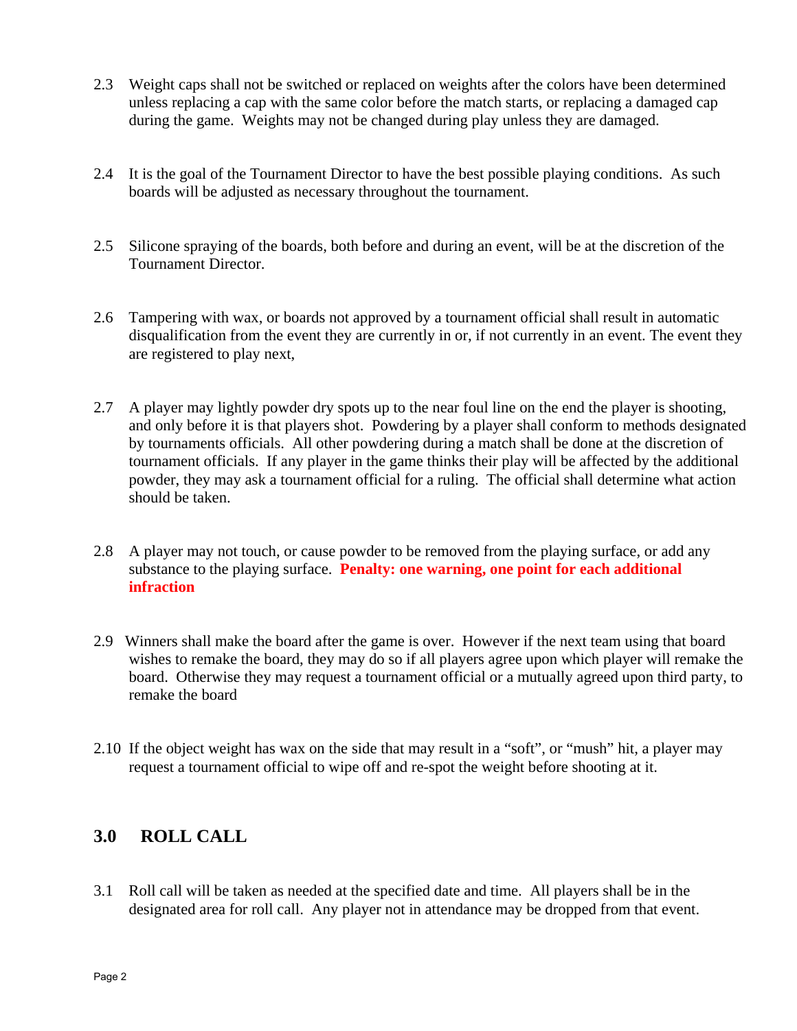- 2.3 Weight caps shall not be switched or replaced on weights after the colors have been determined unless replacing a cap with the same color before the match starts, or replacing a damaged cap during the game. Weights may not be changed during play unless they are damaged.
- 2.4 It is the goal of the Tournament Director to have the best possible playing conditions. As such boards will be adjusted as necessary throughout the tournament.
- 2.5 Silicone spraying of the boards, both before and during an event, will be at the discretion of the Tournament Director.
- 2.6 Tampering with wax, or boards not approved by a tournament official shall result in automatic disqualification from the event they are currently in or, if not currently in an event. The event they are registered to play next,
- 2.7 A player may lightly powder dry spots up to the near foul line on the end the player is shooting, and only before it is that players shot. Powdering by a player shall conform to methods designated by tournaments officials. All other powdering during a match shall be done at the discretion of tournament officials. If any player in the game thinks their play will be affected by the additional powder, they may ask a tournament official for a ruling. The official shall determine what action should be taken.
- 2.8 A player may not touch, or cause powder to be removed from the playing surface, or add any substance to the playing surface. **Penalty: one warning, one point for each additional infraction**
- 2.9 Winners shall make the board after the game is over. However if the next team using that board wishes to remake the board, they may do so if all players agree upon which player will remake the board. Otherwise they may request a tournament official or a mutually agreed upon third party, to remake the board
- 2.10 If the object weight has wax on the side that may result in a "soft", or "mush" hit, a player may request a tournament official to wipe off and re-spot the weight before shooting at it.

#### **3.0 ROLL CALL**

3.1 Roll call will be taken as needed at the specified date and time. All players shall be in the designated area for roll call. Any player not in attendance may be dropped from that event.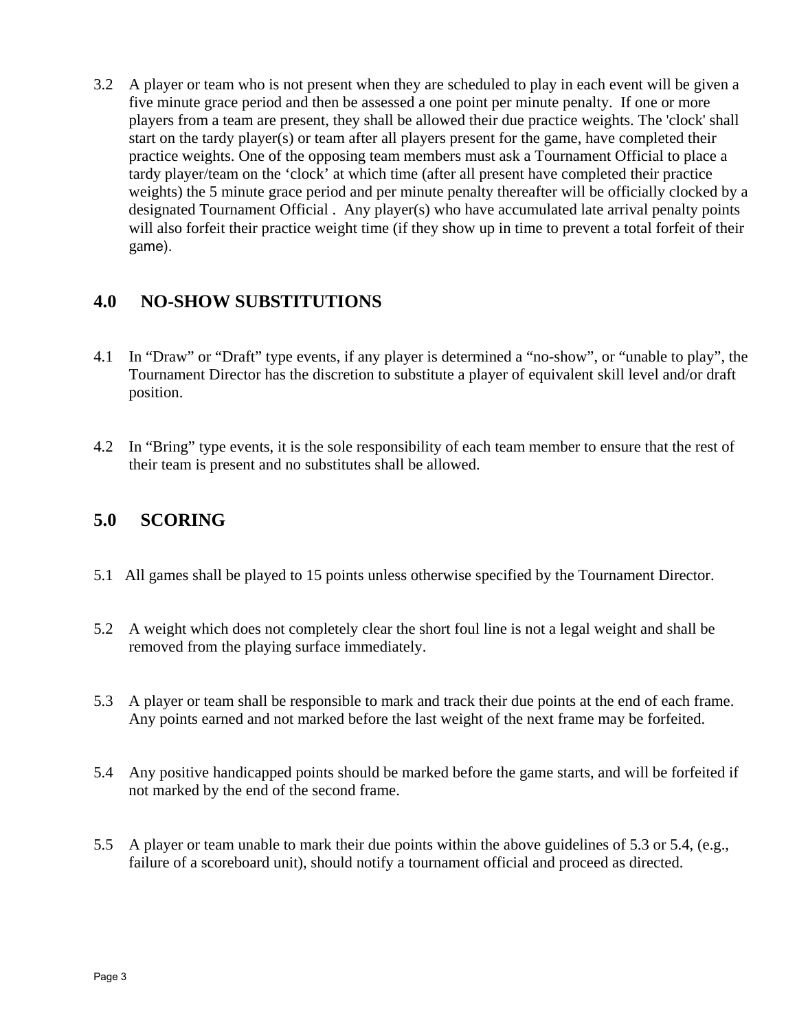3.2 A player or team who is not present when they are scheduled to play in each event will be given a five minute grace period and then be assessed a one point per minute penalty. If one or more players from a team are present, they shall be allowed their due practice weights. The 'clock' shall start on the tardy player(s) or team after all players present for the game, have completed their practice weights. One of the opposing team members must ask a Tournament Official to place a tardy player/team on the 'clock' at which time (after all present have completed their practice weights) the 5 minute grace period and per minute penalty thereafter will be officially clocked by a designated Tournament Official . Any player(s) who have accumulated late arrival penalty points will also forfeit their practice weight time (if they show up in time to prevent a total forfeit of their game).

#### **4.0 NO-SHOW SUBSTITUTIONS**

- 4.1 In "Draw" or "Draft" type events, if any player is determined a "no-show", or "unable to play", the Tournament Director has the discretion to substitute a player of equivalent skill level and/or draft position.
- 4.2 In "Bring" type events, it is the sole responsibility of each team member to ensure that the rest of their team is present and no substitutes shall be allowed.

#### **5.0 SCORING**

- 5.1 All games shall be played to 15 points unless otherwise specified by the Tournament Director.
- 5.2 A weight which does not completely clear the short foul line is not a legal weight and shall be removed from the playing surface immediately.
- 5.3 A player or team shall be responsible to mark and track their due points at the end of each frame. Any points earned and not marked before the last weight of the next frame may be forfeited.
- 5.4 Any positive handicapped points should be marked before the game starts, and will be forfeited if not marked by the end of the second frame.
- 5.5 A player or team unable to mark their due points within the above guidelines of 5.3 or 5.4, (e.g., failure of a scoreboard unit), should notify a tournament official and proceed as directed.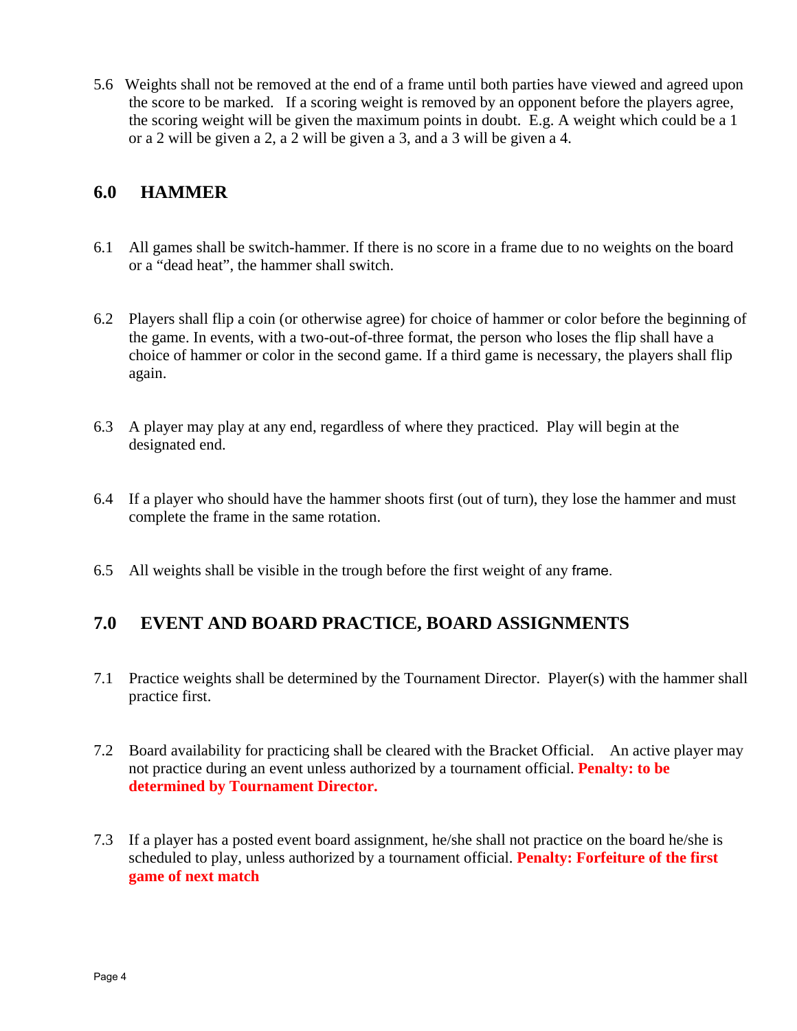5.6 Weights shall not be removed at the end of a frame until both parties have viewed and agreed upon the score to be marked. If a scoring weight is removed by an opponent before the players agree, the scoring weight will be given the maximum points in doubt. E.g. A weight which could be a 1 or a 2 will be given a 2, a 2 will be given a 3, and a 3 will be given a 4.

#### **6.0 HAMMER**

- 6.1 All games shall be switch-hammer. If there is no score in a frame due to no weights on the board or a "dead heat", the hammer shall switch.
- 6.2 Players shall flip a coin (or otherwise agree) for choice of hammer or color before the beginning of the game. In events, with a two-out-of-three format, the person who loses the flip shall have a choice of hammer or color in the second game. If a third game is necessary, the players shall flip again.
- 6.3 A player may play at any end, regardless of where they practiced. Play will begin at the designated end.
- 6.4 If a player who should have the hammer shoots first (out of turn), they lose the hammer and must complete the frame in the same rotation.
- 6.5 All weights shall be visible in the trough before the first weight of any frame.

#### **7.0 EVENT AND BOARD PRACTICE, BOARD ASSIGNMENTS**

- 7.1 Practice weights shall be determined by the Tournament Director. Player(s) with the hammer shall practice first.
- 7.2 Board availability for practicing shall be cleared with the Bracket Official. An active player may not practice during an event unless authorized by a tournament official. **Penalty: to be determined by Tournament Director.**
- 7.3 If a player has a posted event board assignment, he/she shall not practice on the board he/she is scheduled to play, unless authorized by a tournament official. **Penalty: Forfeiture of the first game of next match**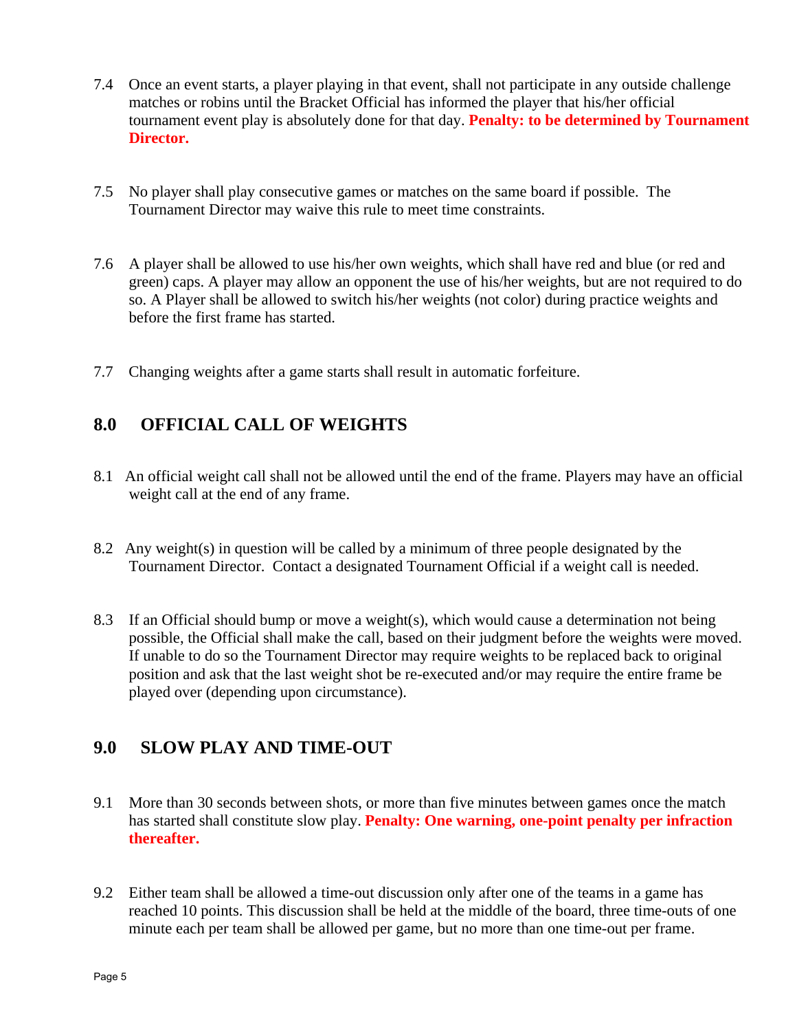- 7.4 Once an event starts, a player playing in that event, shall not participate in any outside challenge matches or robins until the Bracket Official has informed the player that his/her official tournament event play is absolutely done for that day. **Penalty: to be determined by Tournament Director.**
- 7.5 No player shall play consecutive games or matches on the same board if possible. The Tournament Director may waive this rule to meet time constraints.
- 7.6 A player shall be allowed to use his/her own weights, which shall have red and blue (or red and green) caps. A player may allow an opponent the use of his/her weights, but are not required to do so. A Player shall be allowed to switch his/her weights (not color) during practice weights and before the first frame has started.
- 7.7 Changing weights after a game starts shall result in automatic forfeiture.

#### **8.0 OFFICIAL CALL OF WEIGHTS**

- 8.1 An official weight call shall not be allowed until the end of the frame. Players may have an official weight call at the end of any frame.
- 8.2 Any weight(s) in question will be called by a minimum of three people designated by the Tournament Director. Contact a designated Tournament Official if a weight call is needed.
- 8.3 If an Official should bump or move a weight(s), which would cause a determination not being possible, the Official shall make the call, based on their judgment before the weights were moved. If unable to do so the Tournament Director may require weights to be replaced back to original position and ask that the last weight shot be re-executed and/or may require the entire frame be played over (depending upon circumstance).

#### **9.0 SLOW PLAY AND TIME-OUT**

- 9.1 More than 30 seconds between shots, or more than five minutes between games once the match has started shall constitute slow play. **Penalty: One warning, one-point penalty per infraction thereafter.**
- 9.2 Either team shall be allowed a time-out discussion only after one of the teams in a game has reached 10 points. This discussion shall be held at the middle of the board, three time-outs of one minute each per team shall be allowed per game, but no more than one time-out per frame.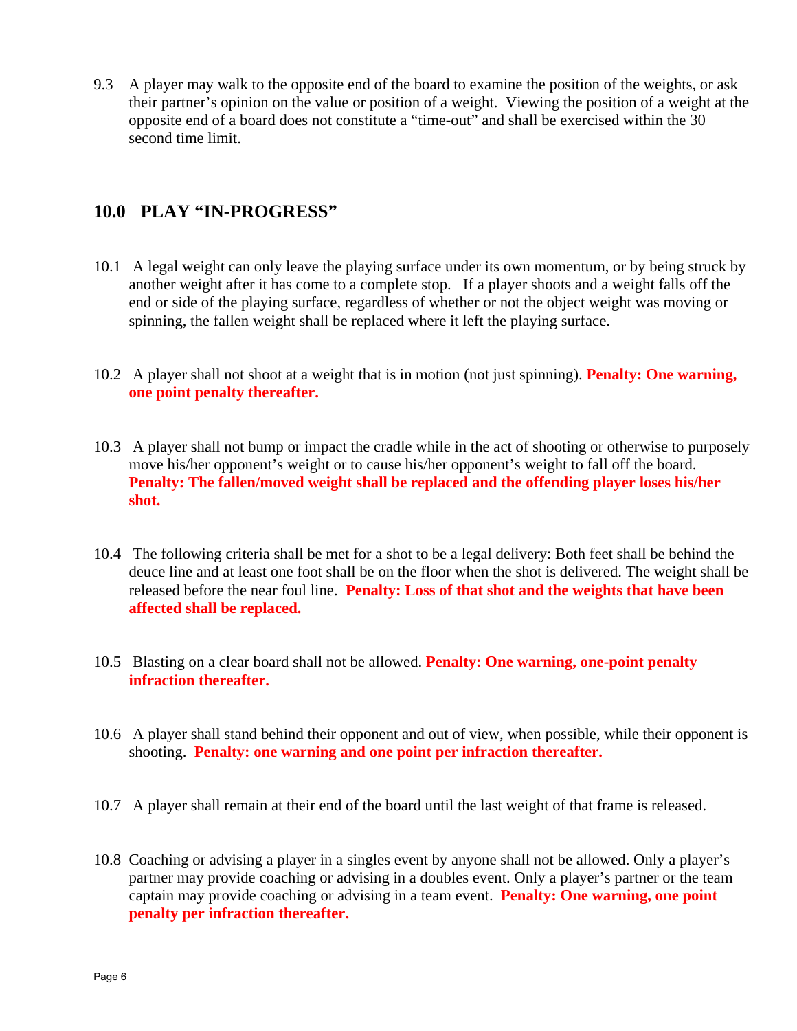9.3 A player may walk to the opposite end of the board to examine the position of the weights, or ask their partner's opinion on the value or position of a weight. Viewing the position of a weight at the opposite end of a board does not constitute a "time-out" and shall be exercised within the 30 second time limit.

#### **10.0 PLAY "IN-PROGRESS"**

- 10.1 A legal weight can only leave the playing surface under its own momentum, or by being struck by another weight after it has come to a complete stop. If a player shoots and a weight falls off the end or side of the playing surface, regardless of whether or not the object weight was moving or spinning, the fallen weight shall be replaced where it left the playing surface.
- 10.2 A player shall not shoot at a weight that is in motion (not just spinning). **Penalty: One warning, one point penalty thereafter.**
- 10.3 A player shall not bump or impact the cradle while in the act of shooting or otherwise to purposely move his/her opponent's weight or to cause his/her opponent's weight to fall off the board. **Penalty: The fallen/moved weight shall be replaced and the offending player loses his/her shot.**
- 10.4 The following criteria shall be met for a shot to be a legal delivery: Both feet shall be behind the deuce line and at least one foot shall be on the floor when the shot is delivered. The weight shall be released before the near foul line. **Penalty: Loss of that shot and the weights that have been affected shall be replaced.**
- 10.5 Blasting on a clear board shall not be allowed. **Penalty: One warning, one-point penalty infraction thereafter.**
- 10.6 A player shall stand behind their opponent and out of view, when possible, while their opponent is shooting. **Penalty: one warning and one point per infraction thereafter.**
- 10.7 A player shall remain at their end of the board until the last weight of that frame is released.
- 10.8 Coaching or advising a player in a singles event by anyone shall not be allowed. Only a player's partner may provide coaching or advising in a doubles event. Only a player's partner or the team captain may provide coaching or advising in a team event. **Penalty: One warning, one point penalty per infraction thereafter.**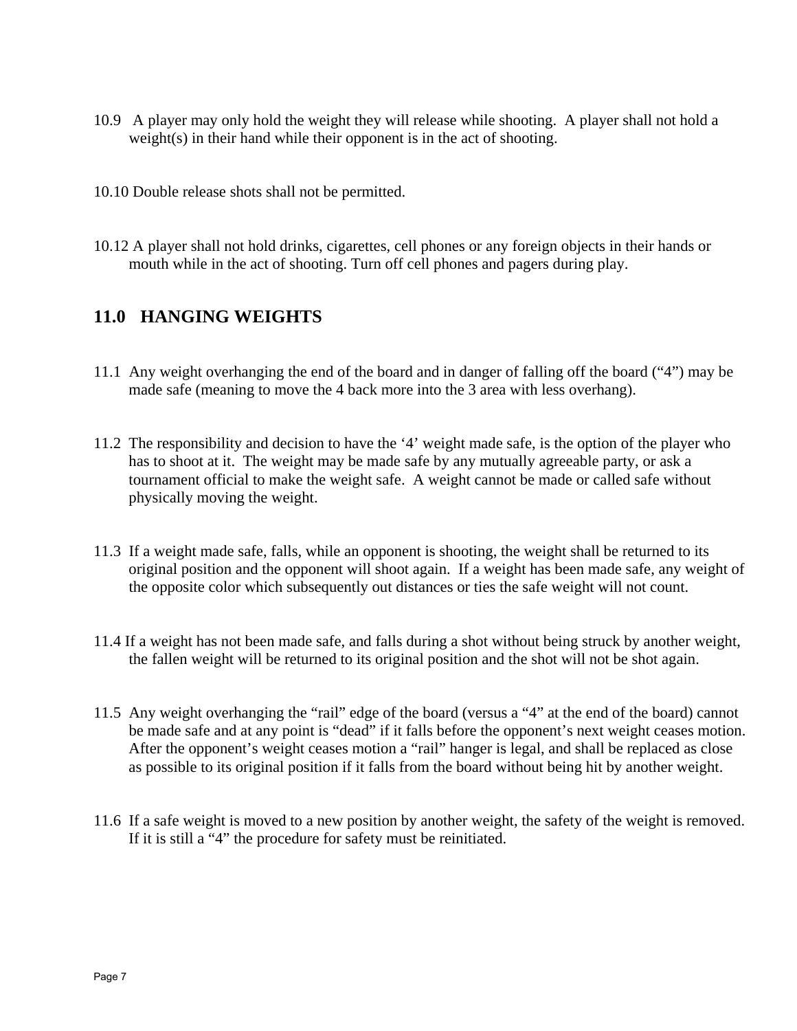- 10.9 A player may only hold the weight they will release while shooting. A player shall not hold a weight(s) in their hand while their opponent is in the act of shooting.
- 10.10 Double release shots shall not be permitted.
- 10.12 A player shall not hold drinks, cigarettes, cell phones or any foreign objects in their hands or mouth while in the act of shooting. Turn off cell phones and pagers during play.

#### **11.0 HANGING WEIGHTS**

- 11.1 Any weight overhanging the end of the board and in danger of falling off the board ("4") may be made safe (meaning to move the 4 back more into the 3 area with less overhang).
- 11.2 The responsibility and decision to have the '4' weight made safe, is the option of the player who has to shoot at it. The weight may be made safe by any mutually agreeable party, or ask a tournament official to make the weight safe. A weight cannot be made or called safe without physically moving the weight.
- 11.3 If a weight made safe, falls, while an opponent is shooting, the weight shall be returned to its original position and the opponent will shoot again. If a weight has been made safe, any weight of the opposite color which subsequently out distances or ties the safe weight will not count.
- 11.4 If a weight has not been made safe, and falls during a shot without being struck by another weight, the fallen weight will be returned to its original position and the shot will not be shot again.
- 11.5 Any weight overhanging the "rail" edge of the board (versus a "4" at the end of the board) cannot be made safe and at any point is "dead" if it falls before the opponent's next weight ceases motion. After the opponent's weight ceases motion a "rail" hanger is legal, and shall be replaced as close as possible to its original position if it falls from the board without being hit by another weight.
- 11.6 If a safe weight is moved to a new position by another weight, the safety of the weight is removed. If it is still a "4" the procedure for safety must be reinitiated.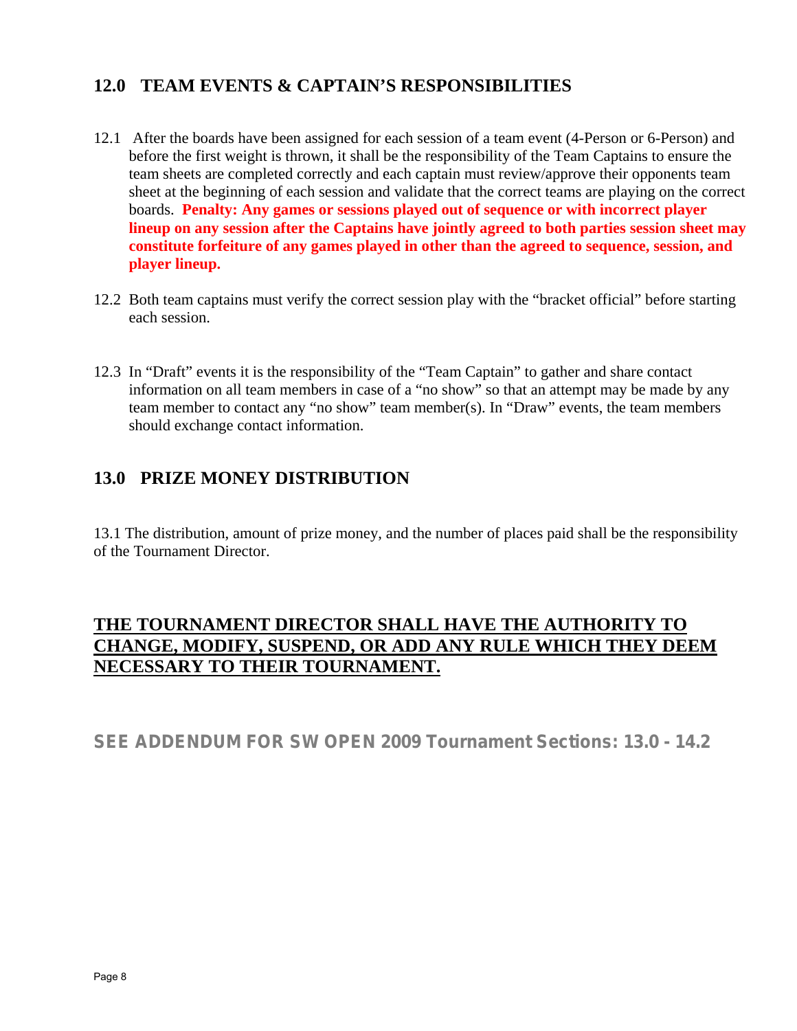#### **12.0 TEAM EVENTS & CAPTAIN'S RESPONSIBILITIES**

- 12.1 After the boards have been assigned for each session of a team event (4-Person or 6-Person) and before the first weight is thrown, it shall be the responsibility of the Team Captains to ensure the team sheets are completed correctly and each captain must review/approve their opponents team sheet at the beginning of each session and validate that the correct teams are playing on the correct boards. **Penalty: Any games or sessions played out of sequence or with incorrect player lineup on any session after the Captains have jointly agreed to both parties session sheet may constitute forfeiture of any games played in other than the agreed to sequence, session, and player lineup.**
- 12.2 Both team captains must verify the correct session play with the "bracket official" before starting each session.
- 12.3 In "Draft" events it is the responsibility of the "Team Captain" to gather and share contact information on all team members in case of a "no show" so that an attempt may be made by any team member to contact any "no show" team member(s). In "Draw" events, the team members should exchange contact information.

### **13.0 PRIZE MONEY DISTRIBUTION**

13.1 The distribution, amount of prize money, and the number of places paid shall be the responsibility of the Tournament Director.

#### **THE TOURNAMENT DIRECTOR SHALL HAVE THE AUTHORITY TO CHANGE, MODIFY, SUSPEND, OR ADD ANY RULE WHICH THEY DEEM NECESSARY TO THEIR TOURNAMENT.**

**SEE ADDENDUM FOR SW OPEN 2009 Tournament Sections: 13.0 - 14.2**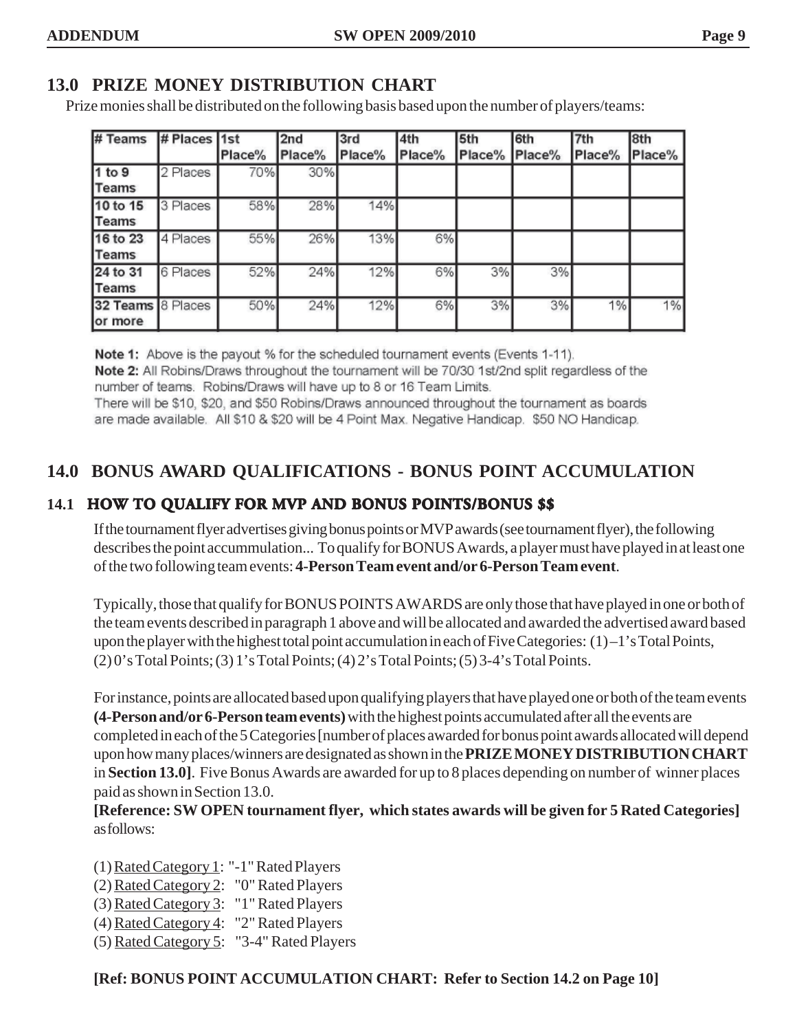#### **13.0 PRIZE MONEY DISTRIBUTION CHART**

Prize monies shall be distributed on the following basis based upon the number of players/teams:

| # Teams                      | # Places 1st | Place% | 2nd<br>Place% | l3rd<br>Place% | 4th<br>Place% | 5th<br>Place% | 16th<br>Place% | l7th<br>Place% | 8th<br>Place% |
|------------------------------|--------------|--------|---------------|----------------|---------------|---------------|----------------|----------------|---------------|
| 1 to 9<br><b>Teams</b>       | 2 Places     | 70%    | 30%           |                |               |               |                |                |               |
| 10 to 15<br><b>Teams</b>     | 3 Places     | 58%    | 28%           | 14%            |               |               |                |                |               |
| 16 to 23<br>Teams            | 4 Places     | 55%    | 26%           | 13%            | 6%            |               |                |                |               |
| 24 to 31<br><b>Teams</b>     | 6 Places     | 52%    | 24%           | 12%            | 6%            | 3%            | 3%             |                |               |
| 32 Teams 8 Places<br>or more |              | 50%    | 24%           | 12%            | 6%            | 3%            | 3%             | 1%             | 1%            |

Note 1: Above is the payout % for the scheduled tournament events (Events 1-11). Note 2: All Robins/Draws throughout the tournament will be 70/30 1st/2nd split regardless of the number of teams. Robins/Draws will have up to 8 or 16 Team Limits.

There will be \$10, \$20, and \$50 Robins/Draws announced throughout the tournament as boards are made available. All \$10 & \$20 will be 4 Point Max. Negative Handicap. \$50 NO Handicap.

#### **14.0 BONUS AWARD QUALIFICATIONS - BONUS POINT ACCUMULATION**

#### **14.1 HOW TO QUALIFY FOR MVP AND BONUS POINTS/BONUS \$\$**

If the tournament flyer advertises giving bonus points or MVP awards (see tournament flyer), the following describes the point accummulation... To qualify for BONUS Awards, a player must have played in at least one of the two following team events: **4-Person Team event and/or 6-Person Team event**.

Typically, those that qualify for BONUS POINTS AWARDS are only those that have played in one or both of the team events described in paragraph 1 above and will be allocated and awarded the advertised award based upon the player with the highest total point accumulation in each of Five Categories: (1)–1's Total Points, (2) 0's Total Points; (3) 1's Total Points; (4) 2's Total Points; (5) 3-4's Total Points.

For instance, points are allocated based upon qualifying players that have played one or both of the team events **(4-Person and/or 6-Person team events)** with the highest points accumulated after all the events are completed in each of the 5 Categories [number of places awarded for bonus point awards allocated will depend upon how many places/winners are designated as shown in the **PRIZE MONEY DISTRIBUTION CHART** in **Section 13.0]**. Five Bonus Awards are awarded for up to 8 places depending on number of winner places paid as shown in Section 13.0.

**[Reference: SW OPEN tournament flyer, which states awards will be given for 5 Rated Categories]** as follows:

(1) Rated Category 1: "-1" Rated Players

- (2) Rated Category 2: "0" Rated Players
- (3) Rated Category 3: "1" Rated Players
- (4) Rated Category 4: "2" Rated Players
- (5) Rated Category 5: "3-4" Rated Players

#### **[Ref: BONUS POINT ACCUMULATION CHART: Refer to Section 14.2 on Page 10]**